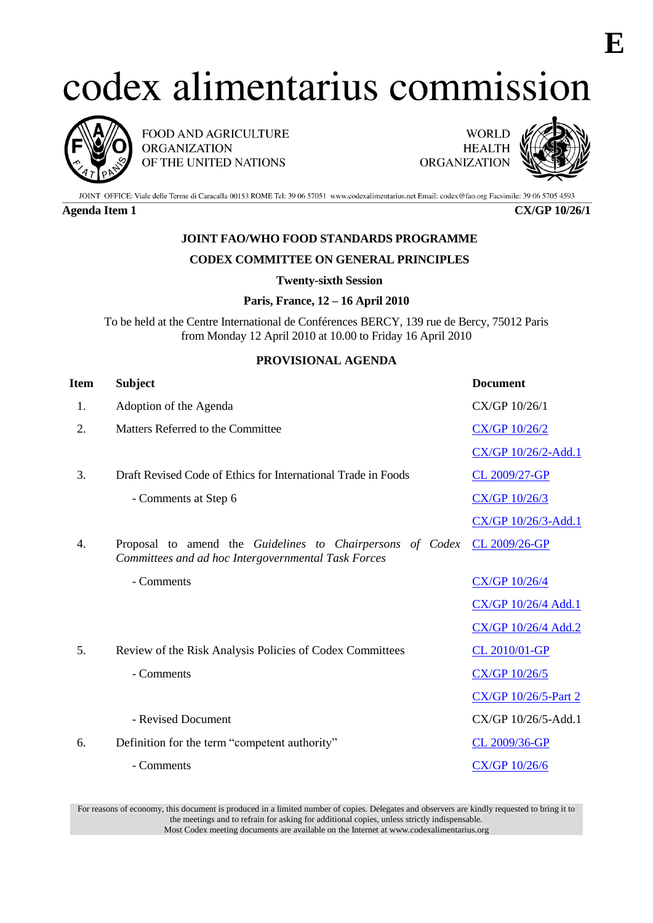# codex alimentarius commission



FOOD AND AGRICULTURE **ORGANIZATION** OF THE UNITED NATIONS

**WORLD HEALTH** ORGANIZATION



JOINT OFFICE: Viale delle Terme di Caracalla 00153 ROME Tel: 39 06 57051 www.codexalimentarius.net Email: codex@fao.org Facsimile: 39 06 5705 4593

**Agenda Item 1 CX/GP 10/26/1**

## **JOINT FAO/WHO FOOD STANDARDS PROGRAMME**

### **CODEX COMMITTEE ON GENERAL PRINCIPLES**

**Twenty-sixth Session**

#### **Paris, France, 12 – 16 April 2010**

To be held at the Centre International de Conférences BERCY, 139 rue de Bercy, 75012 Paris from Monday 12 April 2010 at 10.00 to Friday 16 April 2010

### **PROVISIONAL AGENDA**

| Item | <b>Subject</b>                                                                                                   | <b>Document</b>             |
|------|------------------------------------------------------------------------------------------------------------------|-----------------------------|
| 1.   | Adoption of the Agenda                                                                                           | CX/GP 10/26/1               |
| 2.   | Matters Referred to the Committee                                                                                | CX/GP 10/26/2               |
|      |                                                                                                                  | CX/GP 10/26/2-Add.1         |
| 3.   | Draft Revised Code of Ethics for International Trade in Foods                                                    | CL 2009/27-GP               |
|      | - Comments at Step 6                                                                                             | CX/GP 10/26/3               |
|      |                                                                                                                  | CX/GP 10/26/3-Add.1         |
| 4.   | Proposal to amend the Guidelines to Chairpersons of Codex<br>Committees and ad hoc Intergovernmental Task Forces | CL 2009/26-GP               |
|      | - Comments                                                                                                       | <b>CX/GP 10/26/4</b>        |
|      |                                                                                                                  | CX/GP 10/26/4 Add.1         |
|      |                                                                                                                  | CX/GP 10/26/4 Add.2         |
| 5.   | Review of the Risk Analysis Policies of Codex Committees                                                         | CL 2010/01-GP               |
|      | - Comments                                                                                                       | CX/GP 10/26/5               |
|      |                                                                                                                  | <b>CX/GP 10/26/5-Part 2</b> |
|      | - Revised Document                                                                                               | CX/GP 10/26/5-Add.1         |
| 6.   | Definition for the term "competent authority"                                                                    | CL 2009/36-GP               |
|      | - Comments                                                                                                       | CX/GP 10/26/6               |

For reasons of economy, this document is produced in a limited number of copies. Delegates and observers are kindly requested to bring it to the meetings and to refrain for asking for additional copies, unless strictly indispensable. Most Codex meeting documents are available on the Internet at www.codexalimentarius.org